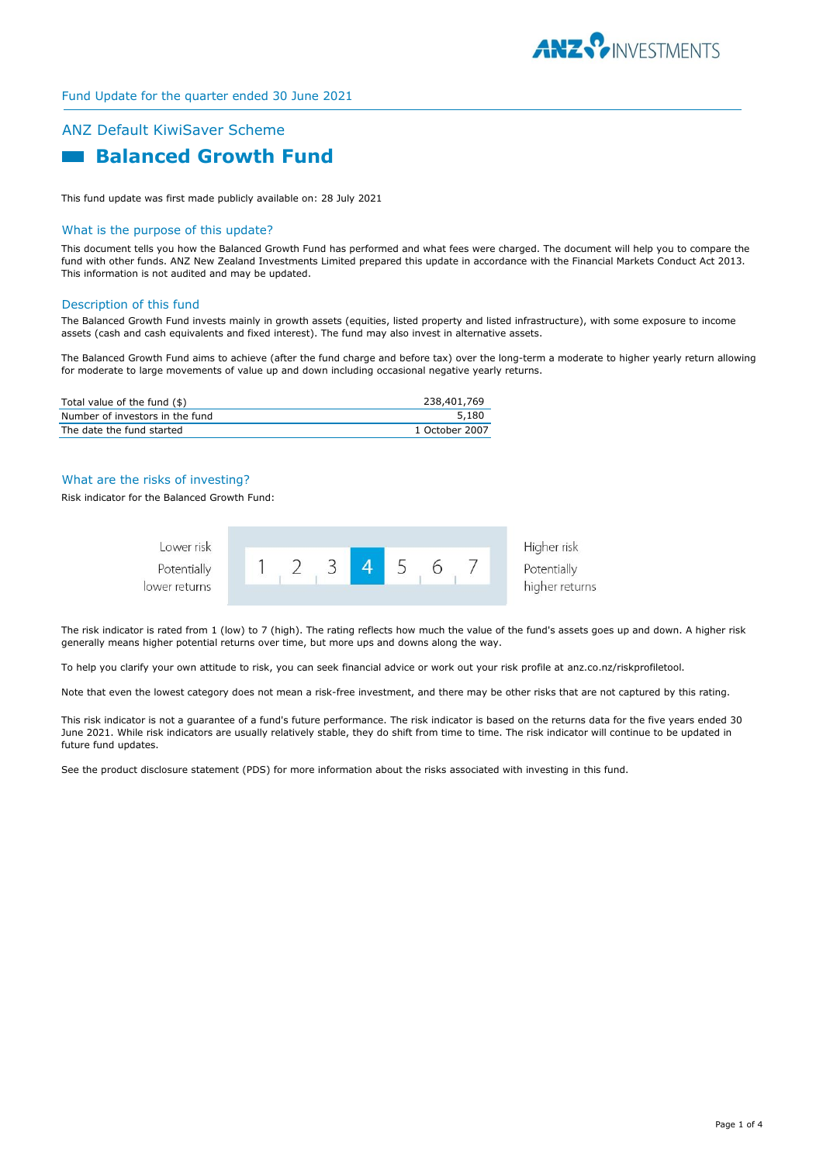

# ANZ Default KiwiSaver Scheme  **Balanced Growth Fund**

This fund update was first made publicly available on: 28 July 2021

## What is the purpose of this update?

This document tells you how the Balanced Growth Fund has performed and what fees were charged. The document will help you to compare the fund with other funds. ANZ New Zealand Investments Limited prepared this update in accordance with the Financial Markets Conduct Act 2013. This information is not audited and may be updated.

#### Description of this fund

The Balanced Growth Fund invests mainly in growth assets (equities, listed property and listed infrastructure), with some exposure to income assets (cash and cash equivalents and fixed interest). The fund may also invest in alternative assets.

The Balanced Growth Fund aims to achieve (after the fund charge and before tax) over the long-term a moderate to higher yearly return allowing for moderate to large movements of value up and down including occasional negative yearly returns.

| Total value of the fund (\$)    | 238,401,769    |
|---------------------------------|----------------|
| Number of investors in the fund | 5.180          |
| The date the fund started       | 1 October 2007 |

## What are the risks of investing?

Risk indicator for the Balanced Growth Fund:



The risk indicator is rated from 1 (low) to 7 (high). The rating reflects how much the value of the fund's assets goes up and down. A higher risk generally means higher potential returns over time, but more ups and downs along the way.

To help you clarify your own attitude to risk, you can seek financial advice or work out your risk profile at anz.co.nz/riskprofiletool.

Note that even the lowest category does not mean a risk-free investment, and there may be other risks that are not captured by this rating.

This risk indicator is not a guarantee of a fund's future performance. The risk indicator is based on the returns data for the five years ended 30 June 2021. While risk indicators are usually relatively stable, they do shift from time to time. The risk indicator will continue to be updated in future fund updates.

See the product disclosure statement (PDS) for more information about the risks associated with investing in this fund.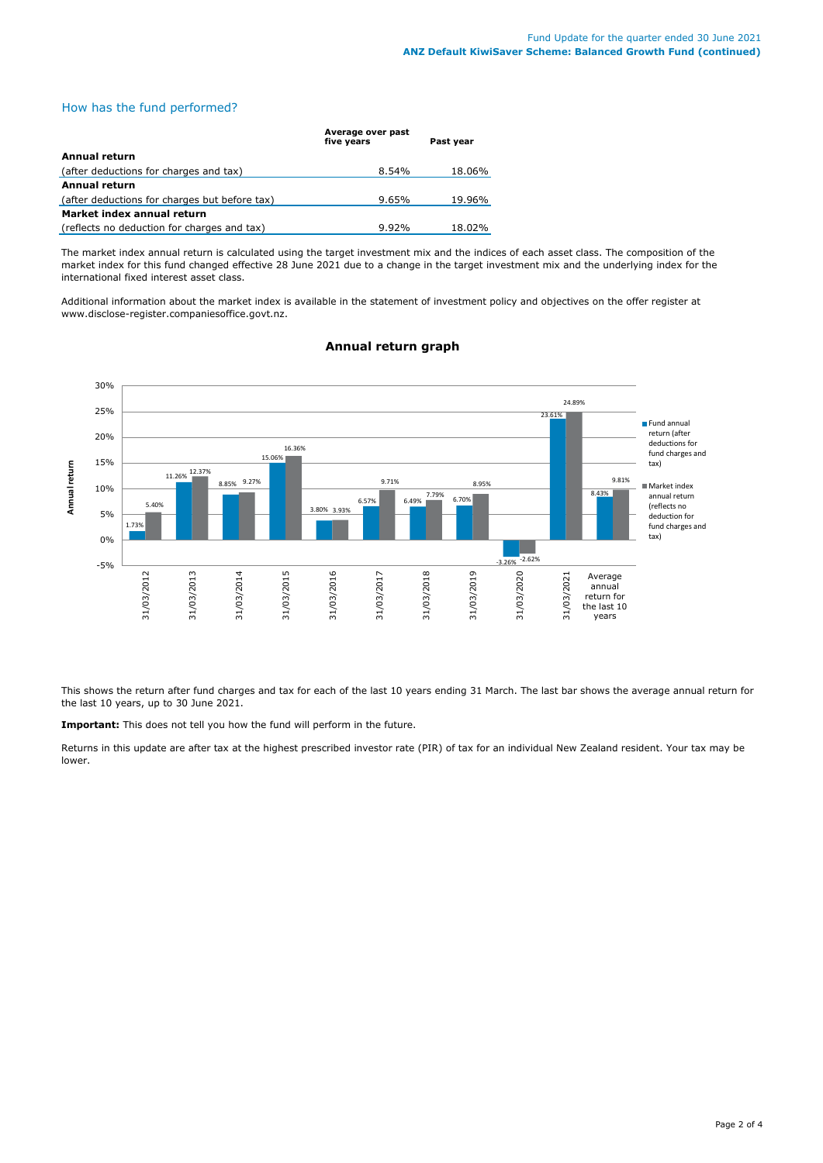## How has the fund performed?

|                                               | Average over past<br>five vears | Past year |
|-----------------------------------------------|---------------------------------|-----------|
| Annual return                                 |                                 |           |
| (after deductions for charges and tax)        | $8.54\%$                        | 18.06%    |
| <b>Annual return</b>                          |                                 |           |
| (after deductions for charges but before tax) | 9.65%                           | 19.96%    |
| Market index annual return                    |                                 |           |
| (reflects no deduction for charges and tax)   | $9.92\%$                        | 18.02%    |

The market index annual return is calculated using the target investment mix and the indices of each asset class. The composition of the market index for this fund changed effective 28 June 2021 due to a change in the target investment mix and the underlying index for the international fixed interest asset class.

Additional information about the market index is available in the statement of investment policy and objectives on the offer register at www.disclose-register.companiesoffice.govt.nz.



## **Annual return graph**

This shows the return after fund charges and tax for each of the last 10 years ending 31 March. The last bar shows the average annual return for the last 10 years, up to 30 June 2021.

**Important:** This does not tell you how the fund will perform in the future.

Returns in this update are after tax at the highest prescribed investor rate (PIR) of tax for an individual New Zealand resident. Your tax may be lower.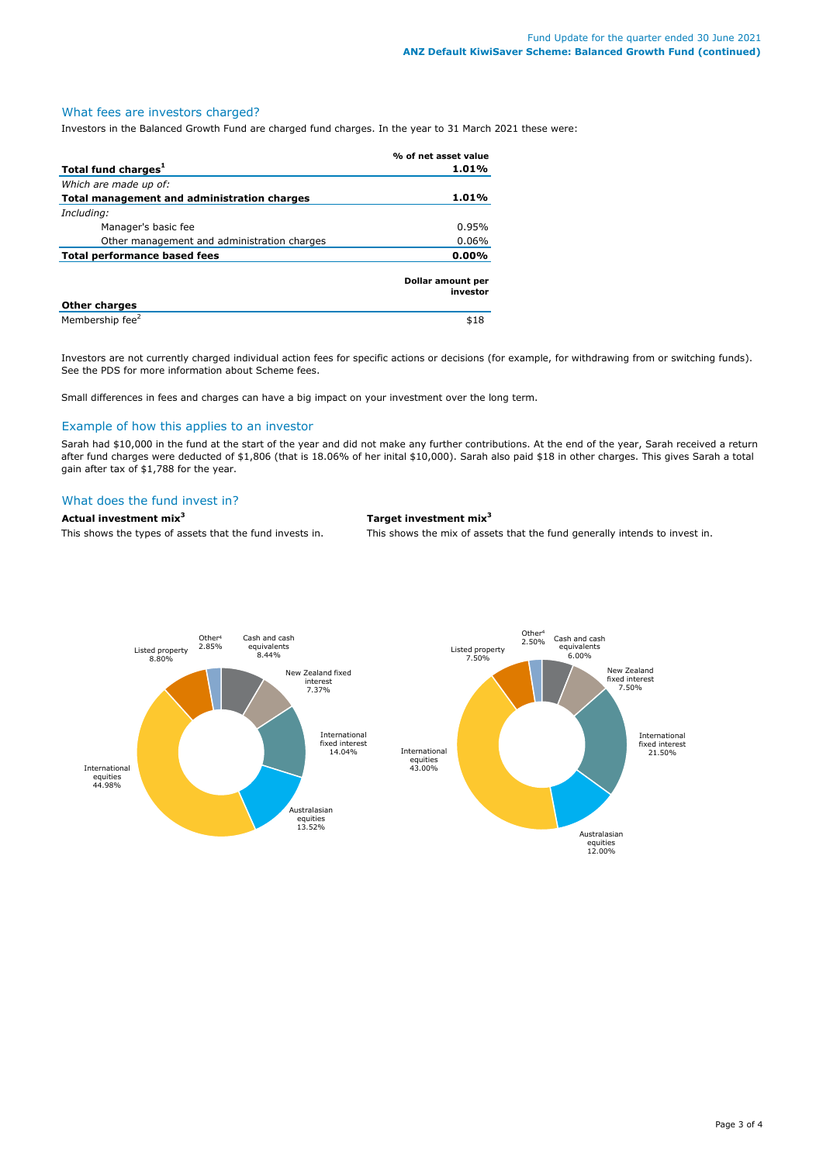### What fees are investors charged?

Investors in the Balanced Growth Fund are charged fund charges. In the year to 31 March 2021 these were:

|                                             | % of net asset value          |  |
|---------------------------------------------|-------------------------------|--|
| Total fund charges <sup>1</sup>             | 1.01%                         |  |
| Which are made up of:                       |                               |  |
| Total management and administration charges | 1.01%                         |  |
| Including:                                  |                               |  |
| Manager's basic fee                         | 0.95%                         |  |
| Other management and administration charges | 0.06%                         |  |
| <b>Total performance based fees</b>         | 0.00%                         |  |
|                                             | Dollar amount per<br>investor |  |
| <b>Other charges</b>                        |                               |  |
| Membership fee <sup>2</sup>                 | \$18                          |  |

Investors are not currently charged individual action fees for specific actions or decisions (for example, for withdrawing from or switching funds). See the PDS for more information about Scheme fees.

Small differences in fees and charges can have a big impact on your investment over the long term.

## Example of how this applies to an investor

Sarah had \$10,000 in the fund at the start of the year and did not make any further contributions. At the end of the year, Sarah received a return after fund charges were deducted of \$1,806 (that is 18.06% of her inital \$10,000). Sarah also paid \$18 in other charges. This gives Sarah a total gain after tax of \$1,788 for the year.

## What does the fund invest in?

#### **Actual investment mix<sup>3</sup> Target investment mix<sup>3</sup>**

This shows the types of assets that the fund invests in. This shows the mix of assets that the fund generally intends to invest in.